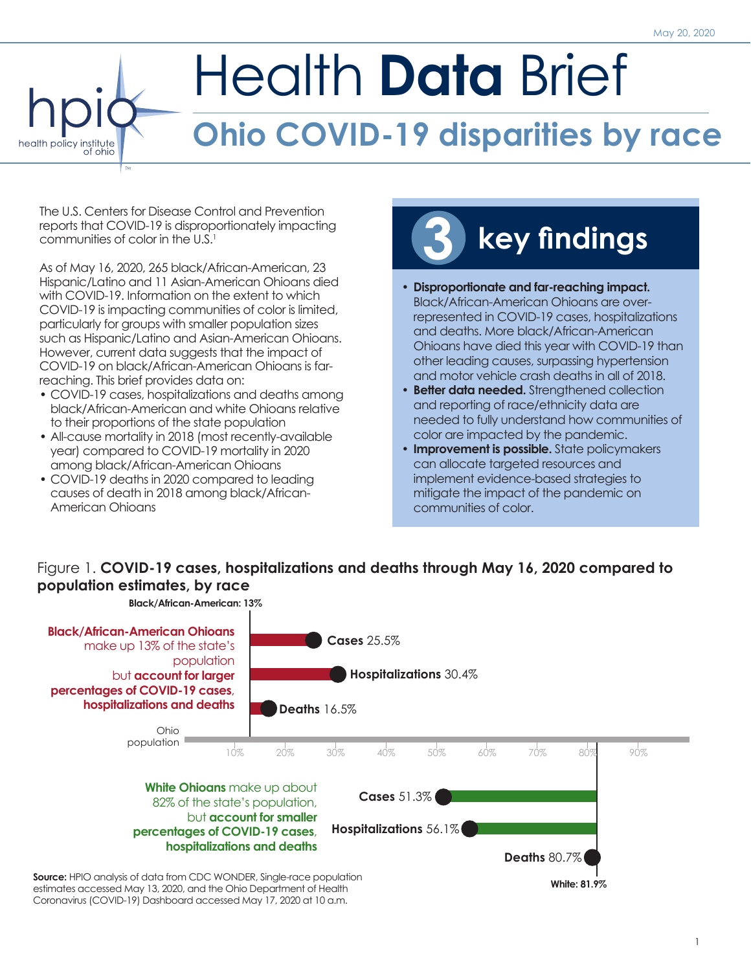# Health **Data** Brief **Ohio COVID-19 disparities by race** health policy institute

The U.S. Centers for Disease Control and Prevention reports that COVID-19 is disproportionately impacting communities of color in the U.S.<sup>1</sup>

TM

As of May 16, 2020, 265 black/African-American, 23 Hispanic/Latino and 11 Asian-American Ohioans died with COVID-19. Information on the extent to which COVID-19 is impacting communities of color is limited, particularly for groups with smaller population sizes such as Hispanic/Latino and Asian-American Ohioans. However, current data suggests that the impact of COVID-19 on black/African-American Ohioans is farreaching. This brief provides data on:

- COVID-19 cases, hospitalizations and deaths among black/African-American and white Ohioans relative to their proportions of the state population
- All-cause mortality in 2018 (most recently-available year) compared to COVID-19 mortality in 2020 among black/African-American Ohioans
- COVID-19 deaths in 2020 compared to leading causes of death in 2018 among black/African-American Ohioans

# **3 key findings**

- y **Disproportionate and far-reaching impact.**  Black/African-American Ohioans are overrepresented in COVID-19 cases, hospitalizations and deaths. More black/African-American Ohioans have died this year with COVID-19 than other leading causes, surpassing hypertension and motor vehicle crash deaths in all of 2018.
- **Better data needed.** Strengthened collection and reporting of race/ethnicity data are needed to fully understand how communities of color are impacted by the pandemic.
- **Improvement is possible.** State policymakers can allocate targeted resources and implement evidence-based strategies to mitigate the impact of the pandemic on communities of color.

#### Figure 1. **COVID-19 cases, hospitalizations and deaths through May 16, 2020 compared to population estimates, by race**

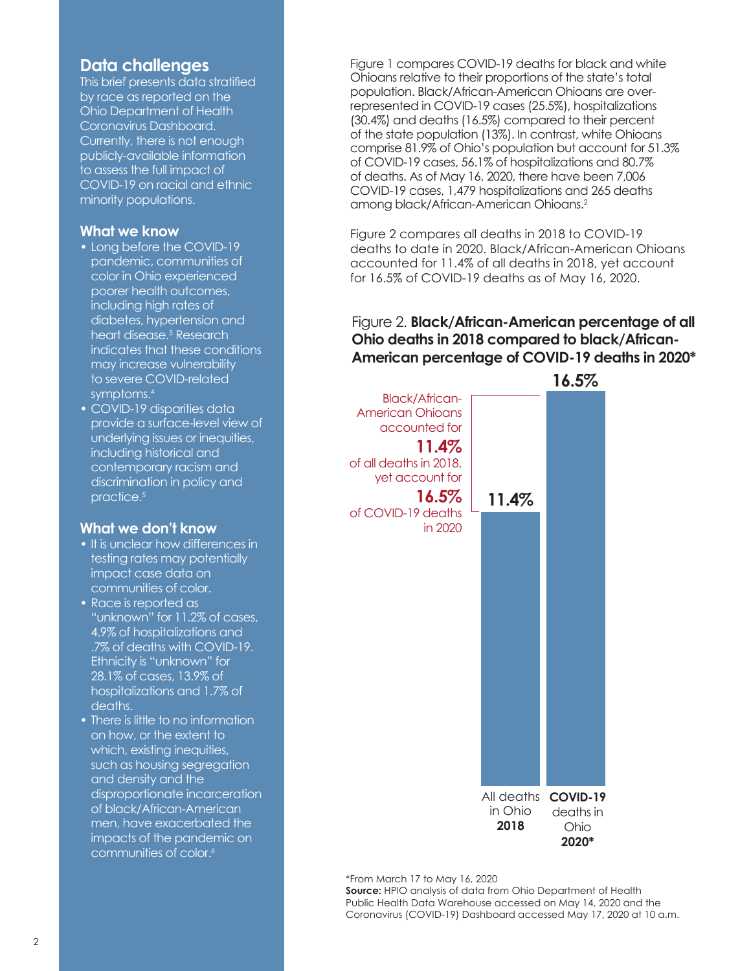#### **Data challenges**

This brief presents data stratified by race as reported on the Ohio Department of Health Coronavirus Dashboard. Currently, there is not enough publicly-available information to assess the full impact of COVID-19 on racial and ethnic minority populations.

#### **What we know**

- Long before the COVID-19 pandemic, communities of color in Ohio experienced poorer health outcomes, including high rates of diabetes, hypertension and heart disease.3 Research indicates that these conditions may increase vulnerability to severe COVID-related symptoms.4
- COVID-19 disparities data provide a surface-level view of underlying issues or inequities, including historical and contemporary racism and discrimination in policy and practice.5

#### **What we don't know**

- It is unclear how differences in testing rates may potentially impact case data on communities of color.
- Race is reported as "unknown" for 11.2% of cases, 4.9% of hospitalizations and .7% of deaths with COVID-19. Ethnicity is "unknown" for 28.1% of cases, 13.9% of hospitalizations and 1.7% of deaths.
- There is little to no information on how, or the extent to which, existing inequities, such as housing segregation and density and the disproportionate incarceration of black/African-American men, have exacerbated the impacts of the pandemic on communities of color.<sup>6</sup>

Figure 1 compares COVID-19 deaths for black and white Ohioans relative to their proportions of the state's total population. Black/African-American Ohioans are overrepresented in COVID-19 cases (25.5%), hospitalizations (30.4%) and deaths (16.5%) compared to their percent of the state population (13%). In contrast, white Ohioans comprise 81.9% of Ohio's population but account for 51.3% of COVID-19 cases, 56.1% of hospitalizations and 80.7% of deaths. As of May 16, 2020, there have been 7,006 COVID-19 cases, 1,479 hospitalizations and 265 deaths among black/African-American Ohioans.2

Figure 2 compares all deaths in 2018 to COVID-19 deaths to date in 2020. Black/African-American Ohioans accounted for 11.4% of all deaths in 2018, yet account for 16.5% of COVID-19 deaths as of May 16, 2020.

#### Figure 2. **Black/African-American percentage of all Ohio deaths in 2018 compared to black/African-American percentage of COVID-19 deaths in 2020\***



\*From March 17 to May 16, 2020

**Source:** HPIO analysis of data from Ohio Department of Health Public Health Data Warehouse accessed on May 14, 2020 and the Coronavirus (COVID-19) Dashboard accessed May 17, 2020 at 10 a.m.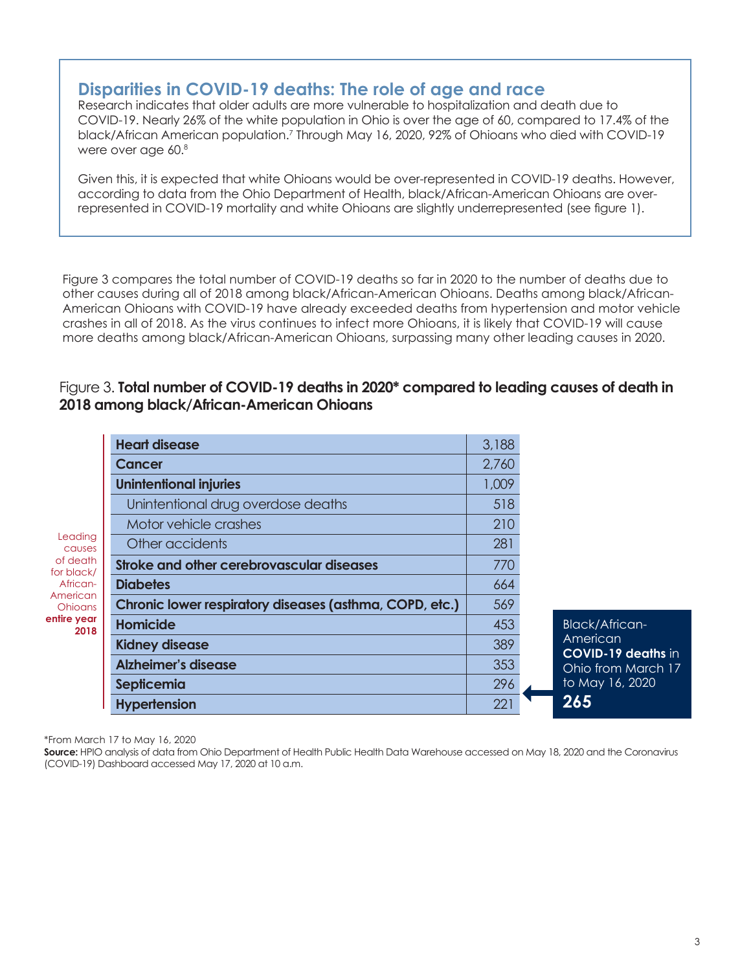#### **Disparities in COVID-19 deaths: The role of age and race**

Research indicates that older adults are more vulnerable to hospitalization and death due to COVID-19. Nearly 26% of the white population in Ohio is over the age of 60, compared to 17.4% of the black/African American population.7 Through May 16, 2020, 92% of Ohioans who died with COVID-19 were over age 60.8

Given this, it is expected that white Ohioans would be over-represented in COVID-19 deaths. However, according to data from the Ohio Department of Health, black/African-American Ohioans are overrepresented in COVID-19 mortality and white Ohioans are slightly underrepresented (see figure 1).

Figure 3 compares the total number of COVID-19 deaths so far in 2020 to the number of deaths due to other causes during all of 2018 among black/African-American Ohioans. Deaths among black/African-American Ohioans with COVID-19 have already exceeded deaths from hypertension and motor vehicle crashes in all of 2018. As the virus continues to infect more Ohioans, it is likely that COVID-19 will cause more deaths among black/African-American Ohioans, surpassing many other leading causes in 2020.

#### Figure 3. **Total number of COVID-19 deaths in 2020\* compared to leading causes of death in 2018 among black/African-American Ohioans**

|                                                                                                              | <b>Heart disease</b>                                    | 3,188 |                                                                                          |
|--------------------------------------------------------------------------------------------------------------|---------------------------------------------------------|-------|------------------------------------------------------------------------------------------|
| Leading<br>causes<br>of death<br>for black/<br>African-<br>American<br><b>Ohioans</b><br>entire year<br>2018 | Cancer                                                  | 2,760 |                                                                                          |
|                                                                                                              | <b>Unintentional injuries</b>                           | 1,009 |                                                                                          |
|                                                                                                              | Unintentional drug overdose deaths                      | 518   |                                                                                          |
|                                                                                                              | Motor vehicle crashes                                   | 210   |                                                                                          |
|                                                                                                              | Other accidents                                         | 281   |                                                                                          |
|                                                                                                              | Stroke and other cerebrovascular diseases               | 770   |                                                                                          |
|                                                                                                              | <b>Diabetes</b>                                         | 664   |                                                                                          |
|                                                                                                              | Chronic lower respiratory diseases (asthma, COPD, etc.) | 569   |                                                                                          |
|                                                                                                              | <b>Homicide</b>                                         | 453   | <b>Black/African-</b><br>American<br>COVID-19 deatl<br>Ohio from Marc<br>to May 16, 2020 |
|                                                                                                              | <b>Kidney disease</b>                                   | 389   |                                                                                          |
|                                                                                                              | <b>Alzheimer's disease</b>                              | 353   |                                                                                          |
|                                                                                                              | Septicemia                                              | 296   |                                                                                          |
|                                                                                                              | <b>Hypertension</b>                                     | 221   | 265                                                                                      |

\*From March 17 to May 16, 2020

**Source:** HPIO analysis of data from Ohio Department of Health Public Health Data Warehouse accessed on May 18, 2020 and the Coronavirus (COVID-19) Dashboard accessed May 17, 2020 at 10 a.m.

**hs** in  $th 17$